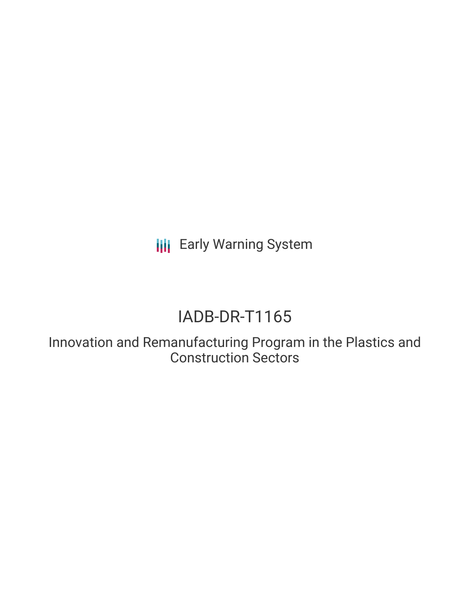**III** Early Warning System

# IADB-DR-T1165

Innovation and Remanufacturing Program in the Plastics and Construction Sectors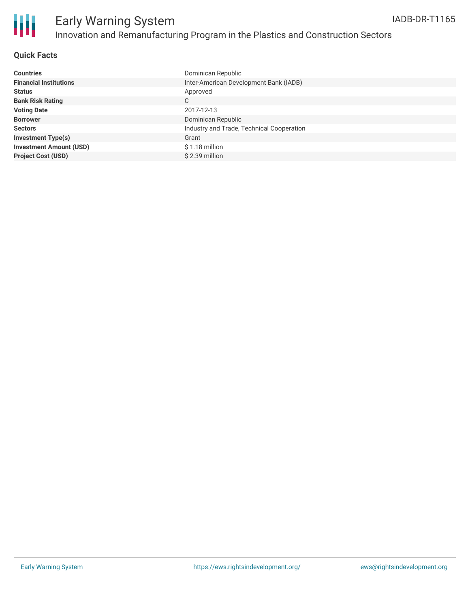

### **Quick Facts**

| <b>Countries</b>               | Dominican Republic                        |
|--------------------------------|-------------------------------------------|
| <b>Financial Institutions</b>  | Inter-American Development Bank (IADB)    |
| <b>Status</b>                  | Approved                                  |
| <b>Bank Risk Rating</b>        | С                                         |
| <b>Voting Date</b>             | 2017-12-13                                |
| <b>Borrower</b>                | Dominican Republic                        |
| <b>Sectors</b>                 | Industry and Trade, Technical Cooperation |
| <b>Investment Type(s)</b>      | Grant                                     |
| <b>Investment Amount (USD)</b> | $$1.18$ million                           |
| <b>Project Cost (USD)</b>      | \$2.39 million                            |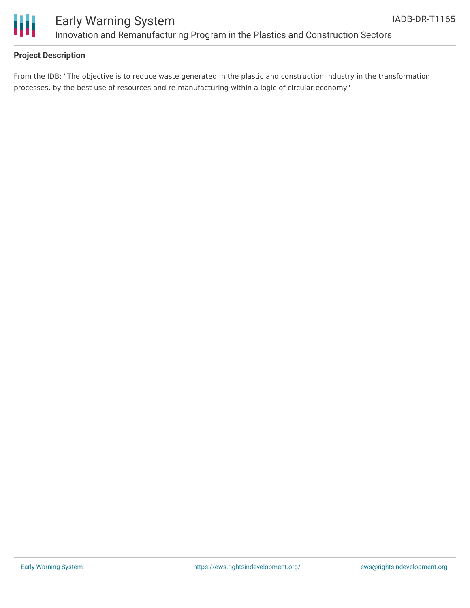

## Early Warning System Innovation and Remanufacturing Program in the Plastics and Construction Sectors

#### **Project Description**

From the IDB: "The objective is to reduce waste generated in the plastic and construction industry in the transformation processes, by the best use of resources and re-manufacturing within a logic of circular economy"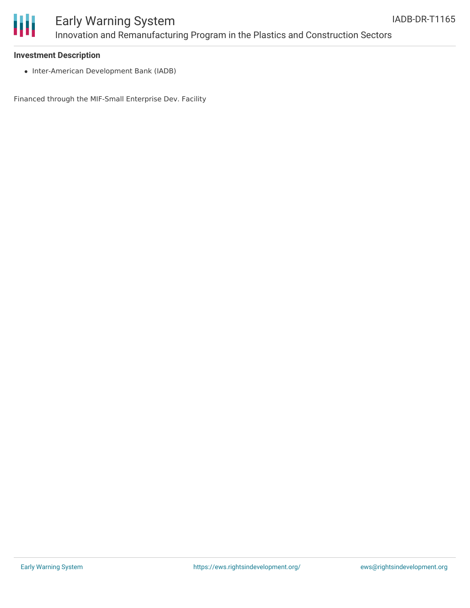

## Early Warning System Innovation and Remanufacturing Program in the Plastics and Construction Sectors

#### **Investment Description**

• Inter-American Development Bank (IADB)

Financed through the MIF-Small Enterprise Dev. Facility